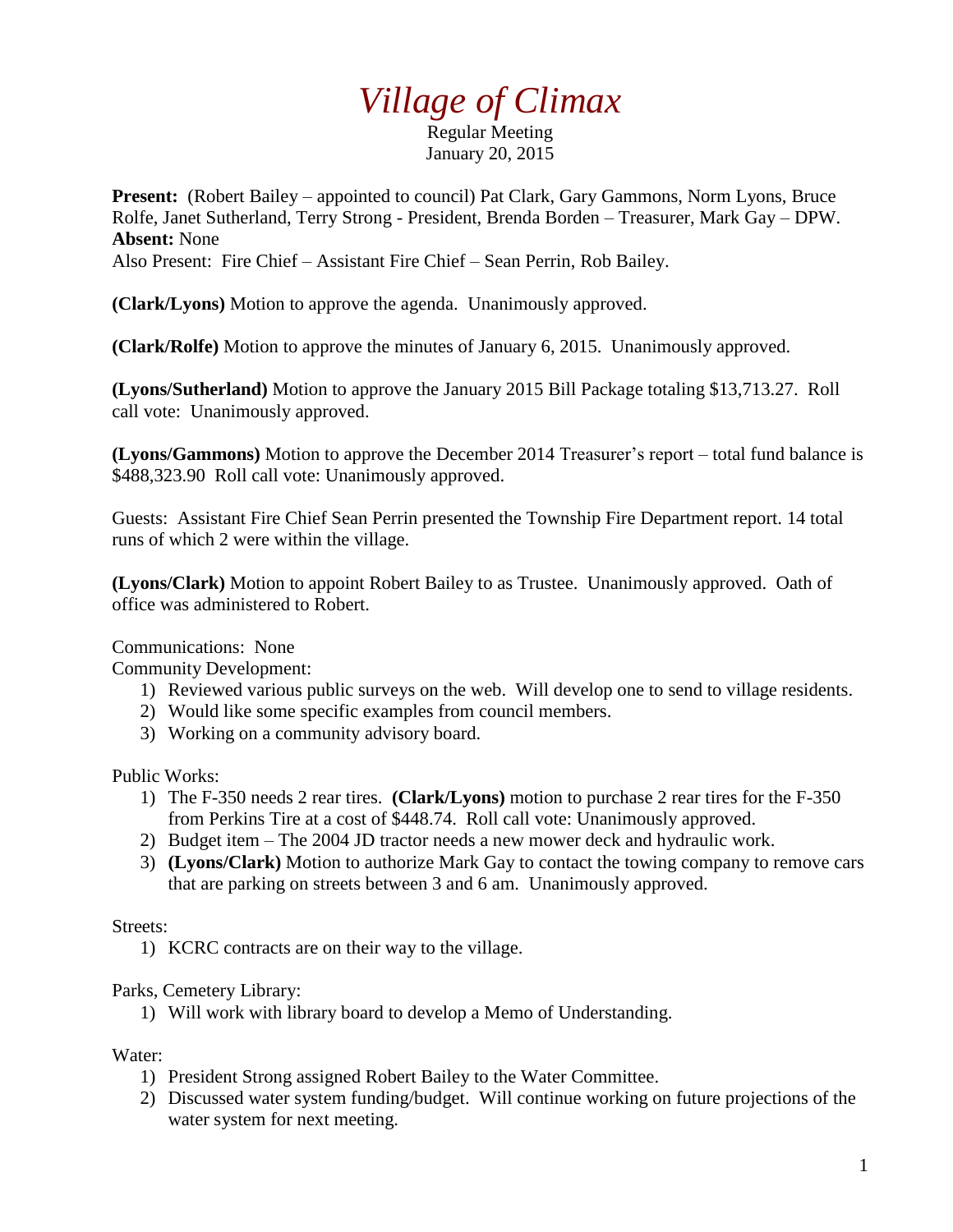## *Village of Climax*

Regular Meeting January 20, 2015

**Present:** (Robert Bailey – appointed to council) Pat Clark, Gary Gammons, Norm Lyons, Bruce Rolfe, Janet Sutherland, Terry Strong - President, Brenda Borden – Treasurer, Mark Gay – DPW. **Absent:** None

Also Present: Fire Chief – Assistant Fire Chief – Sean Perrin, Rob Bailey.

**(Clark/Lyons)** Motion to approve the agenda. Unanimously approved.

**(Clark/Rolfe)** Motion to approve the minutes of January 6, 2015. Unanimously approved.

**(Lyons/Sutherland)** Motion to approve the January 2015 Bill Package totaling \$13,713.27. Roll call vote: Unanimously approved.

**(Lyons/Gammons)** Motion to approve the December 2014 Treasurer's report – total fund balance is \$488,323.90 Roll call vote: Unanimously approved.

Guests: Assistant Fire Chief Sean Perrin presented the Township Fire Department report. 14 total runs of which 2 were within the village.

**(Lyons/Clark)** Motion to appoint Robert Bailey to as Trustee. Unanimously approved. Oath of office was administered to Robert.

Communications: None

Community Development:

- 1) Reviewed various public surveys on the web. Will develop one to send to village residents.
- 2) Would like some specific examples from council members.
- 3) Working on a community advisory board.

Public Works:

- 1) The F-350 needs 2 rear tires. **(Clark/Lyons)** motion to purchase 2 rear tires for the F-350 from Perkins Tire at a cost of \$448.74. Roll call vote: Unanimously approved.
- 2) Budget item The 2004 JD tractor needs a new mower deck and hydraulic work.
- 3) **(Lyons/Clark)** Motion to authorize Mark Gay to contact the towing company to remove cars that are parking on streets between 3 and 6 am. Unanimously approved.

Streets:

1) KCRC contracts are on their way to the village.

Parks, Cemetery Library:

1) Will work with library board to develop a Memo of Understanding.

Water:

- 1) President Strong assigned Robert Bailey to the Water Committee.
- 2) Discussed water system funding/budget. Will continue working on future projections of the water system for next meeting.